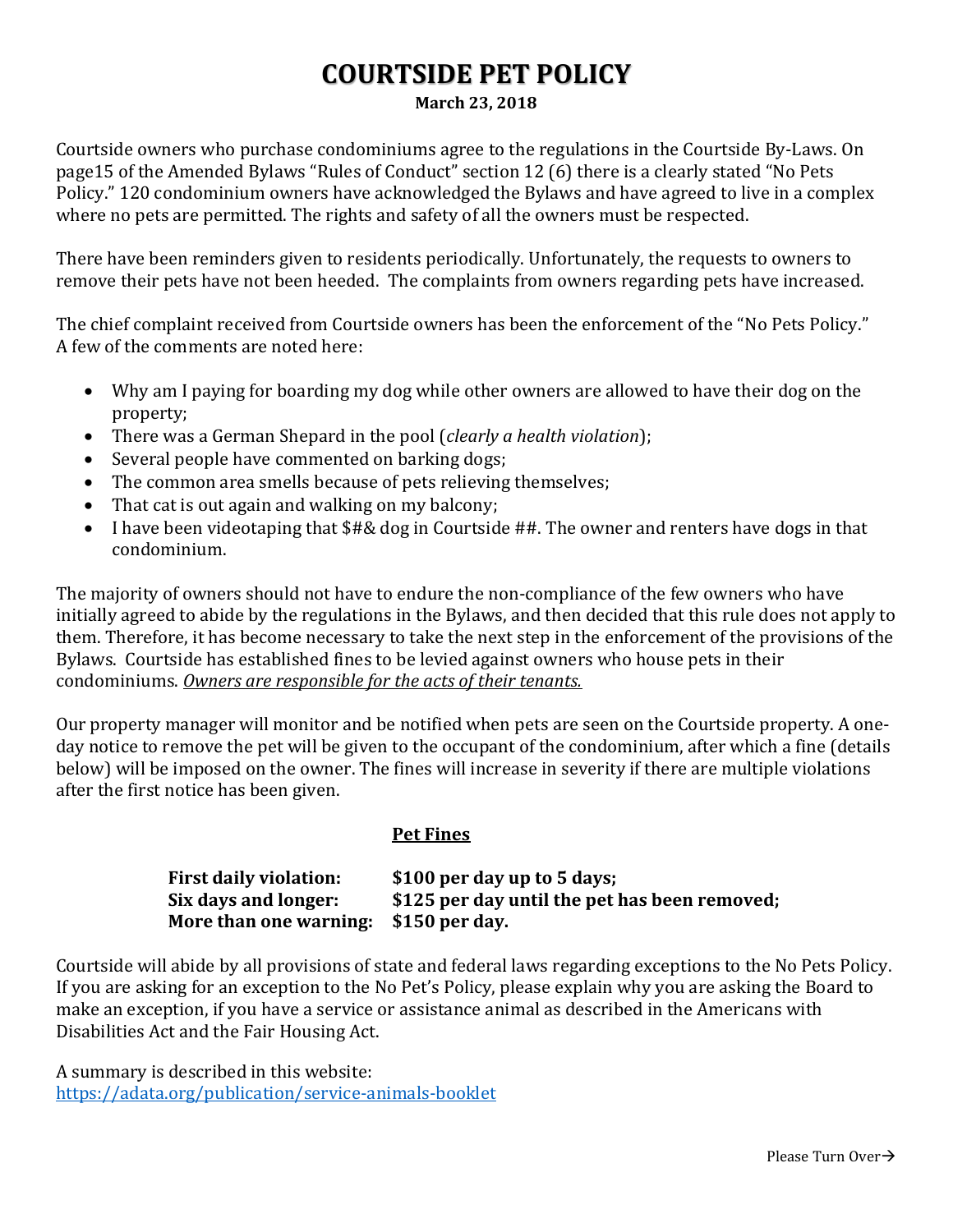## **COURTSIDE PET POLICY**

**March 23, 2018**

Courtside owners who purchase condominiums agree to the regulations in the Courtside By-Laws. On page15 of the Amended Bylaws "Rules of Conduct" section 12 (6) there is a clearly stated "No Pets Policy." 120 condominium owners have acknowledged the Bylaws and have agreed to live in a complex where no pets are permitted. The rights and safety of all the owners must be respected.

There have been reminders given to residents periodically. Unfortunately, the requests to owners to remove their pets have not been heeded. The complaints from owners regarding pets have increased.

The chief complaint received from Courtside owners has been the enforcement of the "No Pets Policy." A few of the comments are noted here:

- Why am I paying for boarding my dog while other owners are allowed to have their dog on the property;
- There was a German Shepard in the pool (*clearly a health violation*);
- Several people have commented on barking dogs;
- The common area smells because of pets relieving themselves;
- That cat is out again and walking on my balcony;
- I have been videotaping that \$#& dog in Courtside ##. The owner and renters have dogs in that condominium.

The majority of owners should not have to endure the non-compliance of the few owners who have initially agreed to abide by the regulations in the Bylaws, and then decided that this rule does not apply to them. Therefore, it has become necessary to take the next step in the enforcement of the provisions of the Bylaws. Courtside has established fines to be levied against owners who house pets in their condominiums. *Owners are responsible for the acts of their tenants.*

Our property manager will monitor and be notified when pets are seen on the Courtside property. A oneday notice to remove the pet will be given to the occupant of the condominium, after which a fine (details below) will be imposed on the owner. The fines will increase in severity if there are multiple violations after the first notice has been given.

## **Pet Fines**

| <b>First daily violation:</b>         | \$100 per day up to 5 days;                   |
|---------------------------------------|-----------------------------------------------|
| Six days and longer:                  | \$125 per day until the pet has been removed; |
| More than one warning: \$150 per day. |                                               |

Courtside will abide by all provisions of state and federal laws regarding exceptions to the No Pets Policy. If you are asking for an exception to the No Pet's Policy, please explain why you are asking the Board to make an exception, if you have a service or assistance animal as described in the Americans with Disabilities Act and the Fair Housing Act.

A summary is described in this website: <https://adata.org/publication/service-animals-booklet>